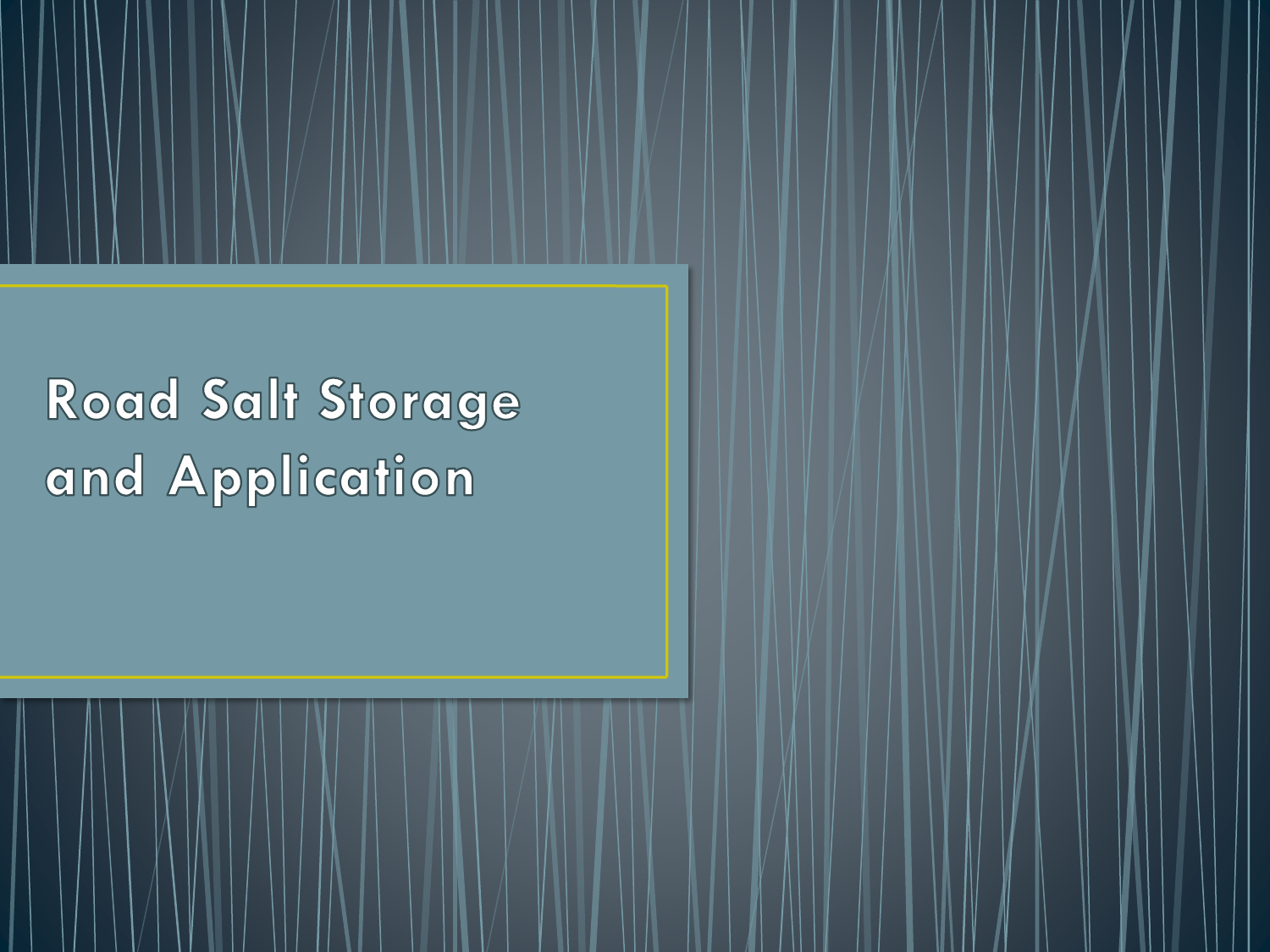Road Salt Storage and Application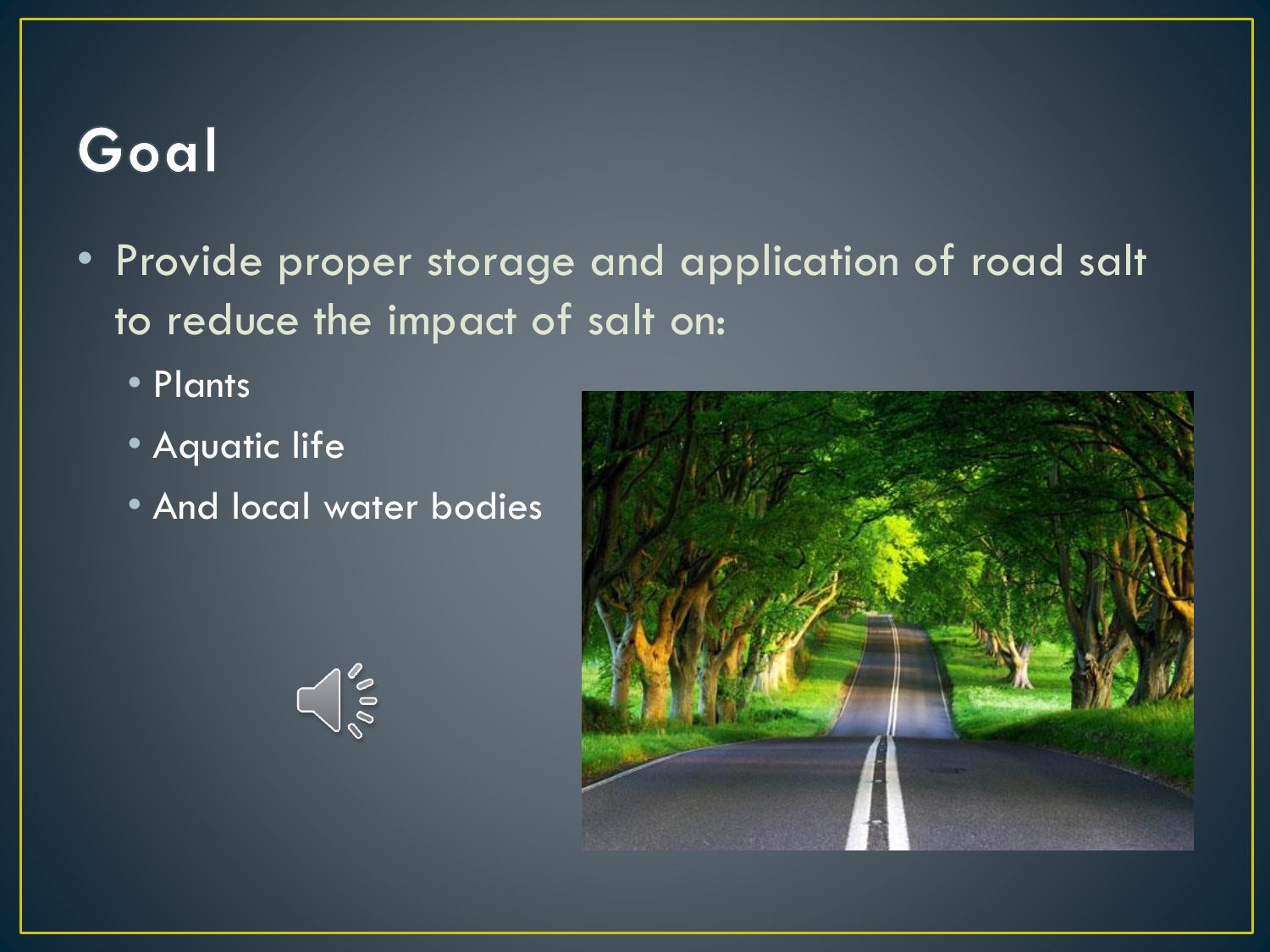# Goal

- Provide proper storage and application of road salt to reduce the impact of salt on:
	- Plants
	- Aquatic life
	- And local water bodies

 $\bigcap_{\infty}^{\infty}$ 

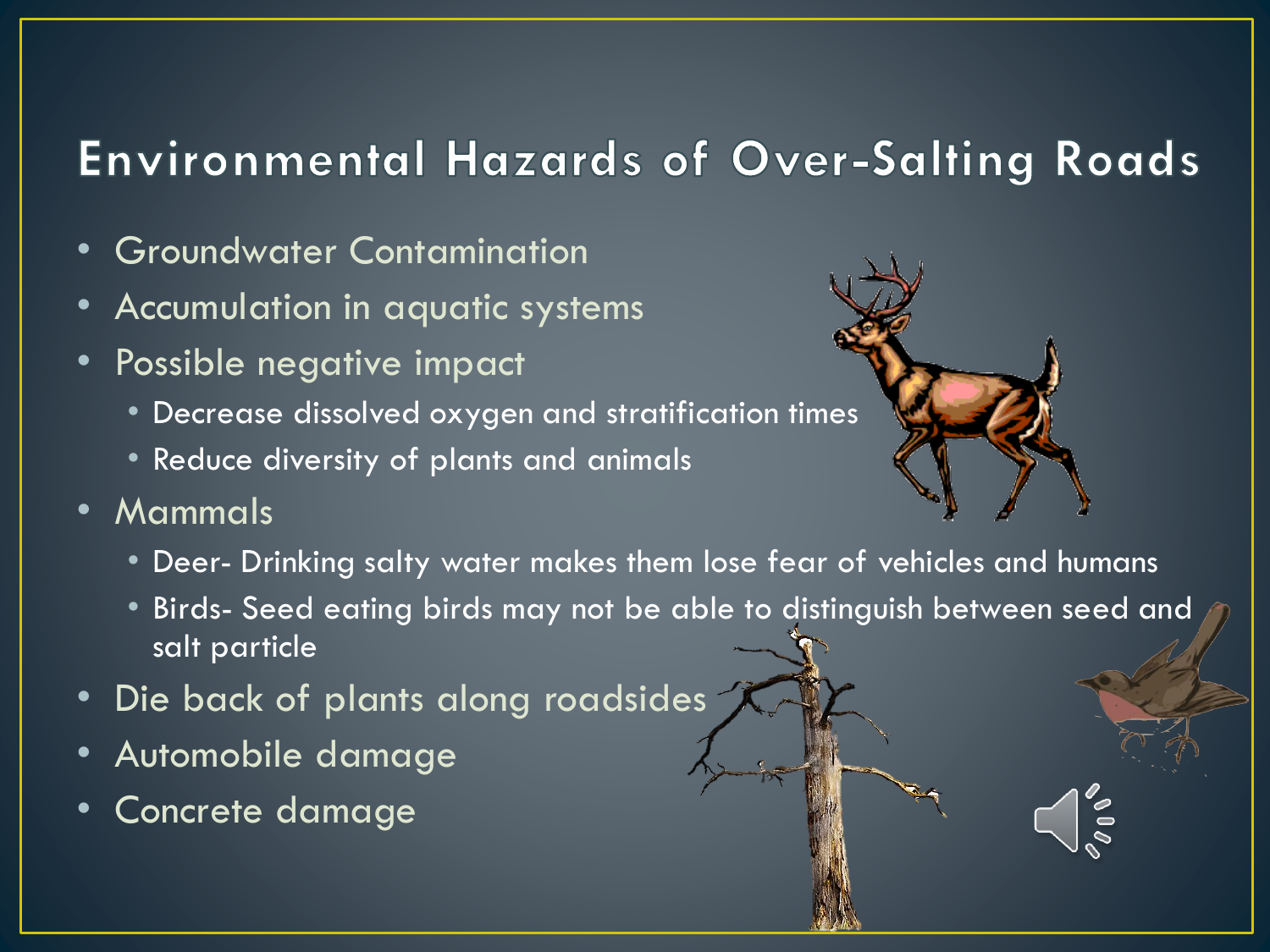#### **Environmental Hazards of Over-Salting Roads**

- Groundwater Contamination
- Accumulation in aquatic systems
- Possible negative impact
	- Decrease dissolved oxygen and stratification times
	- Reduce diversity of plants and animals
- Mammals
	- Deer- Drinking salty water makes them lose fear of vehicles and humans
	- Birds- Seed eating birds may not be able to distinguish between seed and salt particle
- Die back of plants along roadsides
- Automobile damage
- Concrete damage

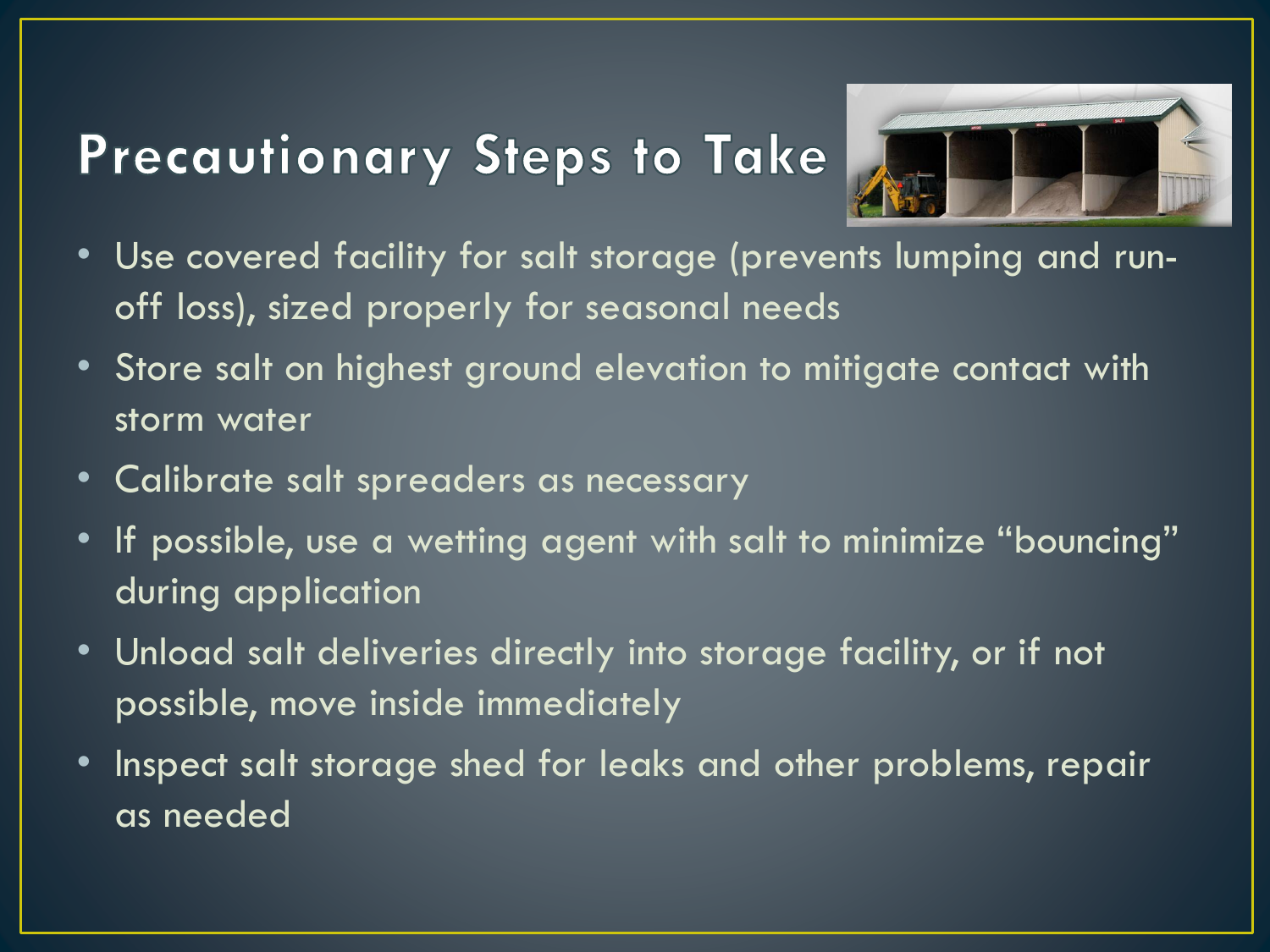# Precautionary Steps to Take



- Use covered facility for salt storage (prevents lumping and runoff loss), sized properly for seasonal needs
- Store salt on highest ground elevation to mitigate contact with storm water
- Calibrate salt spreaders as necessary
- If possible, use a wetting agent with salt to minimize "bouncing" during application
- Unload salt deliveries directly into storage facility, or if not possible, move inside immediately
- Inspect salt storage shed for leaks and other problems, repair as needed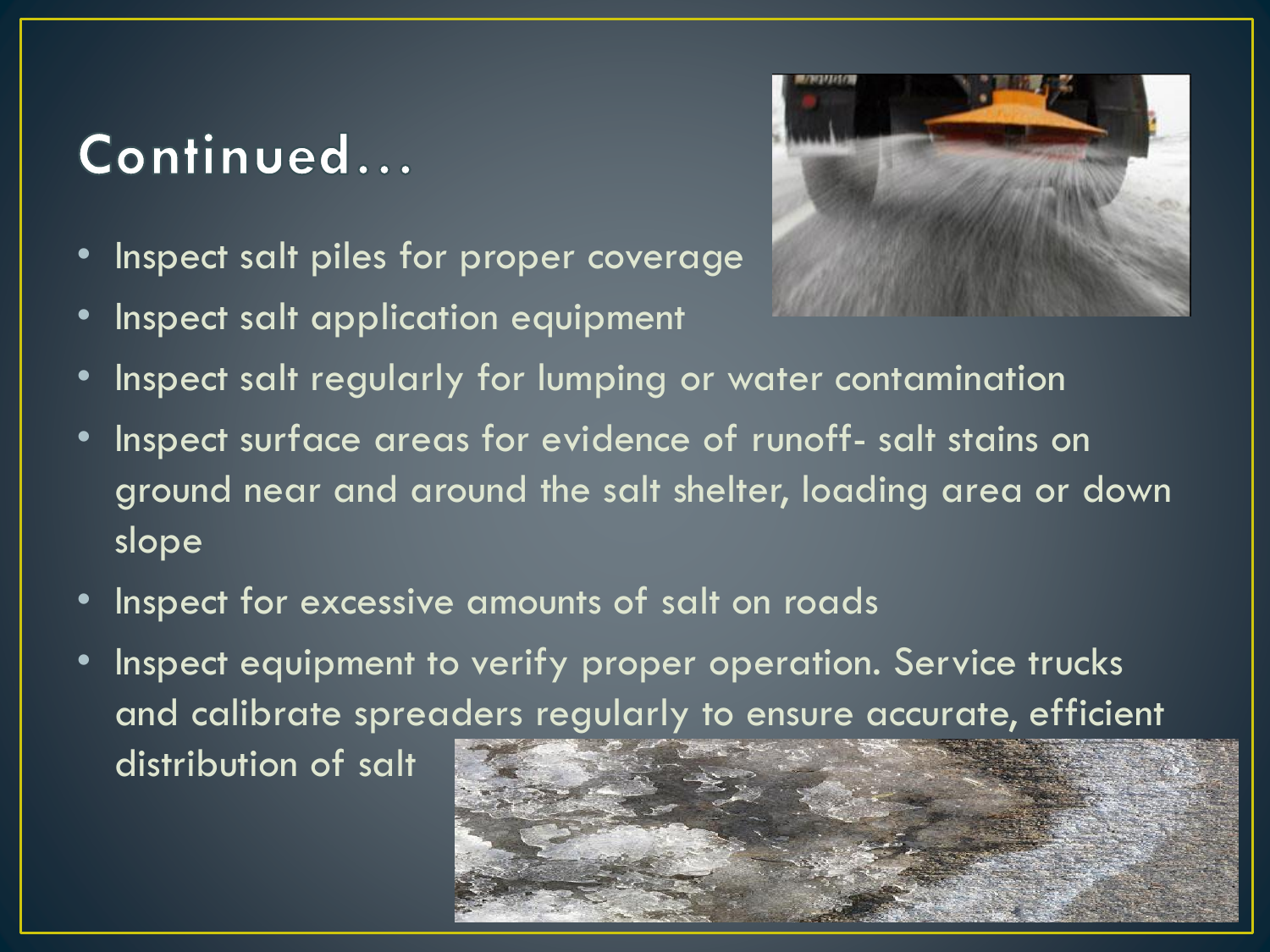## Continued...

- Inspect salt piles for proper coverage
- Inspect salt application equipment



- Inspect salt regularly for lumping or water contamination
- Inspect surface areas for evidence of runoff- salt stains on ground near and around the salt shelter, loading area or down slope
- Inspect for excessive amounts of salt on roads
- Inspect equipment to verify proper operation. Service trucks and calibrate spreaders regularly to ensure accurate, efficient distribution of salt